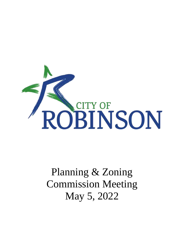

# Planning & Zoning Commission Meeting May 5, 2022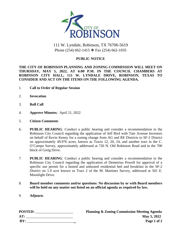

# 111 W. Lyndale, Robinson, TX 76706-5619 Phone (254) 662-1415 ❖ Fax (254) 662-1035

#### **PUBLIC NOTICE**

#### **THE CITY OF ROBINSON PLANNING AND ZONING COMMISSION WILL MEET ON THURSDAY, MAY 5, 2022, AT 6:00 P.M. IN THE COUNCIL CHAMBERS AT ROBINSON CITY HALL, 111 W. LYNDALE DRIVE, ROBINSON, TEXAS TO CONSIDER AND ACT ON THE ITEMS ON THE FOLLOWING AGENDA.**

- 1. **Call to Order of Regular Session**
- 2. **Invocation**
- 3. **Roll Call**
- 4. **Approve Minutes**: April 21, 2022
- 5. **Citizen Comments**
- 6. **PUBLIC HEARING**: Conduct a public hearing and consider a recommendation to the Robinson City Council regarding the application of Jeff Bird with Tate Avenue Investors on behalf of Kevin Kenny for a zoning change from AG and RE Districts to SF-2 District on approximately 49.976 acres, known as Tracts 12, 20, 24, and another tract in the C. O'Campo Survey, approximately addressed at 726 N. Old Robinson Road and in the 700 block of Greig Drive.
- 7. **PUBLIC HEARING**: Conduct a public hearing and consider a recommendation to the Robinson City Council regarding the application of Demetrius Powell for approval of a specific use permit for a hosted and unhosted residential bed and breakfast in the SF-2 District on 1.0 acre known as Tract 2 of the M. Martinez Survey, addressed at 501 E. Moonlight Drive.
- 8. **Board member comments and/or questions: No discussion by or with Board members will be held on any matter not listed on an official agenda as required by law.**
- 9. **Adjourn**.

| <b>POSTED:</b> | <b>Planning &amp; Zoning Commission Meeting Agenda</b> |
|----------------|--------------------------------------------------------|
| AT:            | May 5, 2022                                            |
| BY:            | Page 1 of 2                                            |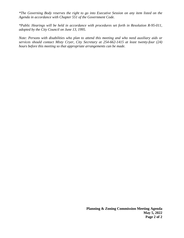*\*The Governing Body reserves the right to go into Executive Session on any item listed on the Agenda in accordance with Chapter 551 of the Government Code.*

*\*Public Hearings will be held in accordance with procedures set forth in Resolution R-95-011, adopted by the City Council on June 13, 1995.*

*Note: Persons with disabilities who plan to attend this meeting and who need auxiliary aids or services should contact Misty Cryer, City Secretary at 254-662-1415 at least twenty-four (24) hours before this meeting so that appropriate arrangements can be made.*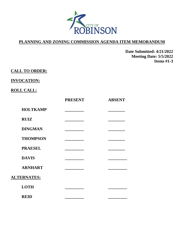

**Date Submitted: 4/21/2022 Meeting Date: 5/5/2022 Items #1-3**

## **CALL TO ORDER:**

#### **INVOCATION:**

## **ROLL CALL:**

|                    | <b>PRESENT</b> | <b>ABSENT</b> |
|--------------------|----------------|---------------|
| <b>HOLTKAMP</b>    |                |               |
| <b>RUIZ</b>        |                |               |
| <b>DINGMAN</b>     |                |               |
| <b>THOMPSON</b>    |                |               |
| <b>PRAESEL</b>     |                |               |
| <b>DAVIS</b>       |                |               |
| <b>ARNHART</b>     |                |               |
| <b>ALTERNATES:</b> |                |               |
| <b>LOTH</b>        |                |               |
| <b>REID</b>        |                |               |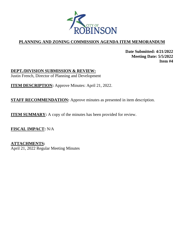

**Date Submitted: 4/21/2022 Meeting Date: 5/5/2022 Item #4**

**DEPT./DIVISION SUBMISSION & REVIEW:** Justin French, Director of Planning and Development

**ITEM DESCRIPTION:** Approve Minutes: April 21, 2022.

**STAFF RECOMMENDATION:** Approve minutes as presented in item description.

**ITEM SUMMARY:** A copy of the minutes has been provided for review.

**FISCAL IMPACT:** N/A

**ATTACHMENTS:** April 21, 2022 Regular Meeting Minutes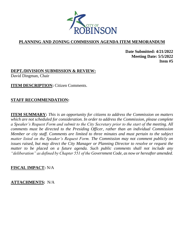

**Date Submitted: 4/21/2022 Meeting Date: 5/5/2022 Item #5**

**DEPT./DIVISION SUBMISSION & REVIEW:** David Dingman, Chair

**ITEM DESCRIPTION:** Citizen Comments.

## **STAFF RECOMMENDATION:**

**ITEM SUMMARY:** *This is an opportunity for citizens to address the Commission on matters which are not scheduled for consideration. In order to address the Commission, please complete a Speaker's Request Form and submit to the City Secretary prior to the start of the meeting. All comments must be directed to the Presiding Officer, rather than an individual Commission Member or city staff. Comments are limited to three minutes and must pertain to the subject matter listed on the Speaker's Request Form. The Commission may not comment publicly on issues raised, but may direct the City Manager or Planning Director to resolve or request the matter to be placed on a future agenda. Such public comments shall not include any "deliberation" as defined by Chapter 551 of the Government Code, as now or hereafter amended.* 

#### **FISCAL IMPACT:** N/A

#### **ATTACHMENTS:** N/A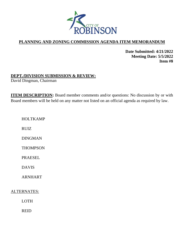

**Date Submitted: 4/21/2022 Meeting Date: 5/5/2022 Item #8**

## **DEPT./DIVISION SUBMISSION & REVIEW:**

David Dingman, Chairman

**ITEM DESCRIPTION:** Board member comments and/or questions: No discussion by or with Board members will be held on any matter not listed on an official agenda as required by law.

HOLTKAMP

RUIZ

DINGMAN

**THOMPSON** 

PRAESEL

DAVIS

ARNHART

ALTERNATES:

LOTH

REID